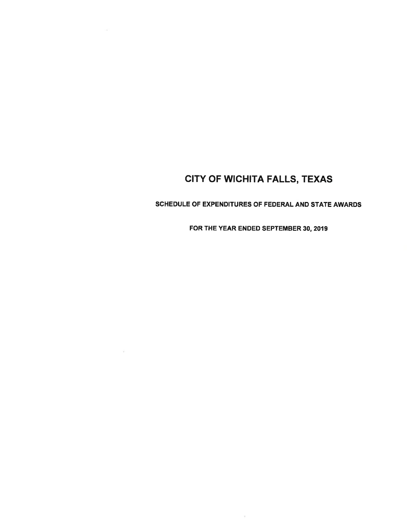SCHEDULE OF EXPENDITURES OF FEDERAL AND STATE AWARDS

FOR THE YEAR ENDED SEPTEMBER 30, 2019

 $\bar{\Xi}$ 

 $\overline{\mathcal{L}}$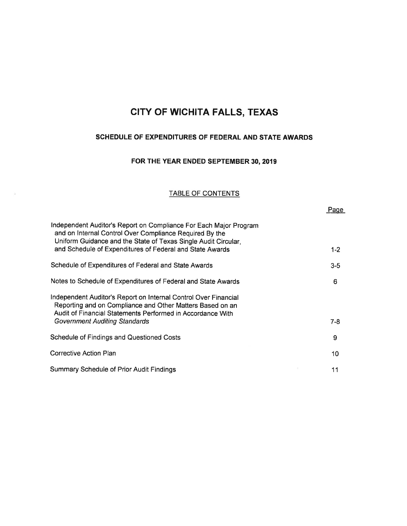### SCHEDULE OF EXPENDITURES OF FEDERAL AND STATE AWARDS

### FOR THE YEAR ENDED SEPTEMBER 30,2019

#### TABLE OF CONTENTS

|                                                                                                                                                                                                | Page    |
|------------------------------------------------------------------------------------------------------------------------------------------------------------------------------------------------|---------|
| Independent Auditor's Report on Compliance For Each Major Program<br>and on Internal Control Over Compliance Required By the<br>Uniform Guidance and the State of Texas Single Audit Circular, |         |
| and Schedule of Expenditures of Federal and State Awards                                                                                                                                       | $1 - 2$ |
| Schedule of Expenditures of Federal and State Awards                                                                                                                                           | $3 - 5$ |
| Notes to Schedule of Expenditures of Federal and State Awards                                                                                                                                  | 6       |
| Independent Auditor's Report on Internal Control Over Financial<br>Reporting and on Compliance and Other Matters Based on an<br>Audit of Financial Statements Performed in Accordance With     |         |
| <b>Government Auditing Standards</b>                                                                                                                                                           | $7-8$   |
| Schedule of Findings and Questioned Costs                                                                                                                                                      | 9       |
| Corrective Action Plan                                                                                                                                                                         | 10      |
| <b>Summary Schedule of Prior Audit Findings</b>                                                                                                                                                | 11      |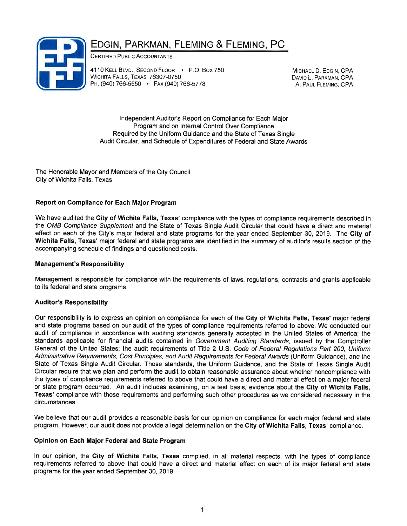### EDGIN, PARKMAN, FLEMING & FLEMING, PC

CERTIFIED PUBLIC ACCOUNTANTS

4110 KELL BLVD., SECOND FLOOR P.O. Box 750 WICHITA FALLS, TEXAS 76307-0750 PH. (940) 766-5550 • FAX (940) 766-5778

MICHAEL D. EDGIN, CPA DAVID L. PARKMAN, CPA A. PAUL FLEMING, CPA

lndependent Auditor's Report on Compliance for Each Major Program and on lnternal Control Over Compliance Required by the Uniform Guidance and the State of Texas Single Audit Circular, and Schedule of Expenditures of Federal and State Awards

The Honorable Mayor and Members of the City Council City of Wichita Falls, Texas

### Report on Compliance for Each Major Program

We have audited the City of Wichita Falls, Texas' compliance with the types of compliance requirements described in the OMB Compliance Supplement and the State of Texas Single Audit Circular that could have a direct and material effect on each of the City's major federal and state programs for the year ended September 30, 2019. The City of Wichita Falls, Texas' major federal and state programs are identified in the summary of auditor's results section of the accompanying schedule of findings and questioned costs.

#### **Management's Responsibility**

Management is responsible for compliance with the requirements of laws, regulations, contracts and grants applicable to its federal and state programs.

#### Auditor's Responsibility

Our responsibility is to express an opinion on compliance for each of the City of Wichita Falls, Texas' major federal and state programs based on our audit of the types of compliance requirements referred to above. We conducted our audit of compliance in accordance with auditing standards generally accepted in the United States of America; the standards applicable for financial audits contained in Government Auditing Standards, issued by the Comptroller General of the United States; the audit requirements of Title 2 U.S. Code of Federal Regulations Part 200, Uniform Administrative Requiremenfs, Cosf Principles, and Audit Requirements for Federal Awards (Uniform Guidance), and the State of Texas Single Audit Circular. Those standards, the Uniform Guidance, and the State of Texas Single Audit Circular require that we plan and perform the audit to obtain reasonable assurance about whether noncompliance with the types of compliance requirements referred to above that could have a direct and material effect on a major federal or state program occurred. An audit includes examining, on a test basis, evidence about the City of Wichita Falls, Texas' compliance with those requirements and performing such other procedures as we considered necessary in the circumstances.

We believe that our audit provides a reasonable basis for our opinion on compliance for each major federal and state program. However, our audit does not provide a legal determination on the City of Wichita Falls, Texas' compliance.

#### Opinion on Each Major Federaland State Program

ln our opinion, the Gity of Wichita Falls, Texas complied, in all material respects, with the types of compliance requirements referred to above that could have a direct and material effect on each of its major federal and state programs for the year ended September 30, 2019.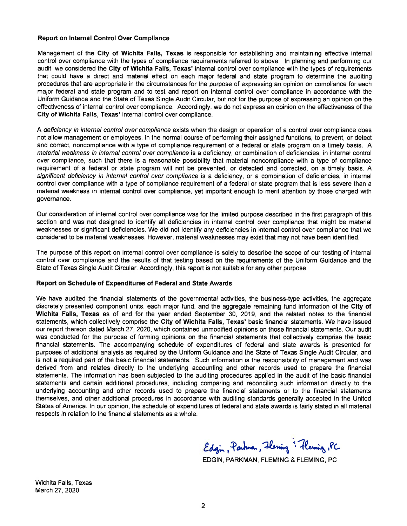#### Report on lnternal Gontrol Over Compliance

Management of the Gity of Wichita Falls, Texas is responsible for establishing and maintaining effective internal control over compliance with the types of compliance requirements referred to above. ln planning and performing our audit, we considered the Gity of Wichita Falls, Texas' internal control over compliance with the types of requirements that could have a direct and material effect on each major federal and state program to determine the auditing procedures that are appropriate in the circumstances for the purpose of expressing an opinion on compliance for each major federal and state program and to test and report on internal control over compliance in accordance with the Uniform Guidance and the State of Texas Single Audit Circular, but not for the purpose of expressing an opinion on the effectiveness of internal control over compliance. Accordingly, we do not express an opinion on the effectiveness of the City of Wichita Falls, Texas' internal control over compliance.

A deficiency in internal control over compliance exists when the design or operation of a control over compliance does not allow management or employees, in the normal course of performing their assigned functions, to prevent, or detect and correct, noncompliance with a type of compliance requirement of a federal or state program on a timely basis. A material weakness in internal control over compliance is a deficiency, or combination of deficiencies, in internal control over compliance, such that there is a reasonable possibility that material noncompliance with a type of compliance requirement of a federal or state program will not be prevented, or detected and corrected, on a timely basis. A significant deficiency in internal control over compliance is a deficiency, or a combination of deficiencies, in internal control over compliance with a type of compliance requirement of a federal or state program that is less severe than a material weakness in internal control over compliance, yet important enough to merit attention by those charged with governance.

Our consideration of internal control over compliance was for the limited purpose described in the first paragraph of this section and was not designed to identify all deficiencies in internal control over compliance that might be material weaknesses or significant deficiencies. We did not identify any deficiencies in internal control over compliance that we considered to be material weaknesses. However, material weaknesses may exist that may not have been identified.

The purpose of this report on internal control over compliance is solely to describe the scope of our testing of internal control over compliance and the results of that testing based on the requirements of the Uniform Guidance and the State of Texas Single Audit Circular. Accordingly, this report is not suitable for any other purpose.

#### Report on Schedule of Expenditures of Federal and State Awards

We have audited the financial statements of the governmental activities, the business-type activities, the aggregate discretely presented component units, each major fund, and the aggregate remaining fund information of the City of Wichita Falls, Texas as of and for the year ended September 30, 2019, and the related notes to the financial statements, which collectively comprise the City of Wichita Falls, Texas' basic financial statements. We have issued our report thereon dated March 27,2020, which contained unmodified opinions on those financial statements. Our audit was conducted for the purpose of forming opinions on the financial statements that collectively comprise the basic financial statements. The accompanying schedule of expenditures of federal and state awards is presented for purposes of additional analysis as required by the Uniform Guidance and the State of Texas Single Audit Circular, and is not a required part of the basic financial statements. Such information is the responsibility of management and was derived from and relates directly to the underlying accounting and other records used to prepare the financial statements. The information has been subjected to the auditing procedures applied in the audit of the basic financial statements and certain additional procedures, including comparing and reconciling such information directly to the underlying accounting and other records used to prepare the financial statements or to the financial statements themselves, and other additional procedures in accordance with auditing standards generally accepted in the United States of America. ln our opinion, the schedule of expenditures of federal and state awards is fairly stated in all material respects in relation to the financial statements as a whole.

Edgin, Parknan, Flering : Flering, PC

EDGIN, PARKMAN, FLEMING & FLEMING, PC

Wichita Falls, Texas March 27,2020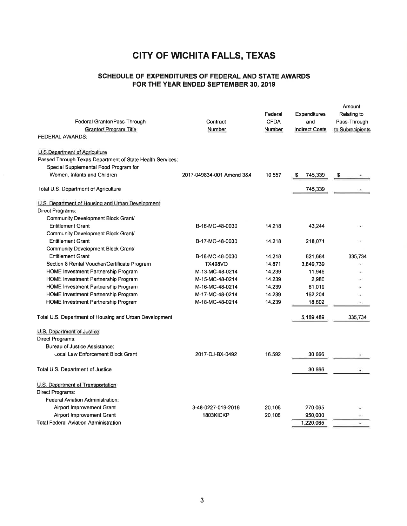#### SCHEDULE OF EXPENDITURES OF FEDERAL AND STATE AWARDS FOR THE YEAR ENDED SEPTEMBER 30, 2019

| Federal Grantor/Pass-Through<br>Grantor/ Program Title<br><b>FEDERAL AWARDS:</b> | Contract<br>Number        | Federal<br><b>CFDA</b><br>Number | Expenditures<br>and<br><b>Indirect Costs</b> | Amount<br>Relating to<br>Pass-Through<br>to Subrecipients |
|----------------------------------------------------------------------------------|---------------------------|----------------------------------|----------------------------------------------|-----------------------------------------------------------|
| U.S.Department of Agriculture                                                    |                           |                                  |                                              |                                                           |
| Passed Through Texas Department of State Health Services:                        |                           |                                  |                                              |                                                           |
| Special Supplemental Food Program for                                            |                           |                                  |                                              |                                                           |
| Women, Infants and Children                                                      | 2017-049834-001 Amend 384 | 10.557                           | 745,339<br>S                                 | S                                                         |
| Total U.S. Department of Agriculture                                             |                           |                                  | 745 339                                      |                                                           |
| U.S. Department of Housing and Urban Development                                 |                           |                                  |                                              |                                                           |
| Direct Programs:                                                                 |                           |                                  |                                              |                                                           |
| Community Development Block Grant/                                               |                           |                                  |                                              |                                                           |
| <b>Entitlement Grant</b>                                                         | B-16-MC-48-0030           | 14.218                           | 43,244                                       |                                                           |
| Community Development Block Grant/                                               |                           |                                  |                                              |                                                           |
| <b>Entitlement Grant</b>                                                         | B-17-MC-48-0030           | 14.218                           | 218,071                                      |                                                           |
| Community Development Block Grant/                                               |                           |                                  |                                              |                                                           |
| <b>Entitlement Grant</b>                                                         | B-18-MC-48-0030           | 14.218                           | 821,684                                      | 335,734                                                   |
| Section 8 Rental Voucher/Certificate Program                                     | <b>TX498VO</b>            | 14.871                           | 3.849.739                                    |                                                           |
| <b>HOME Investment Partnership Program</b>                                       | M-13-MC-48-0214           | 14.239                           | 11,946                                       |                                                           |
| HOME Investment Partnership Program                                              | M-15-MC-48-0214           | 14.239                           | 2,980                                        |                                                           |
| HOME Investment Partnership Program                                              | M-16-MC-48-0214           | 14.239                           | 61,019                                       |                                                           |
| HOME Investment Partnership Program                                              | M-17-MC-48-0214           | 14.239                           | 162,204                                      |                                                           |
| HOME Investment Partnership Program                                              | M-18-MC-48-0214           | 14.239                           | 18,602                                       |                                                           |
| Total U.S. Department of Housing and Urban Development                           |                           |                                  | 5,189,489                                    | 335,734                                                   |
| U.S. Department of Justice                                                       |                           |                                  |                                              |                                                           |
| Direct Programs:                                                                 |                           |                                  |                                              |                                                           |
| Bureau of Justice Assistance:                                                    |                           |                                  |                                              |                                                           |
| Local Law Enforcement Block Grant                                                | 2017-DJ-BX-0492           | 16.592                           | 30,666                                       |                                                           |
| Total U.S. Department of Justice                                                 |                           |                                  | 30,666                                       |                                                           |
| U.S. Department of Transportation                                                |                           |                                  |                                              |                                                           |
| Direct Programs:                                                                 |                           |                                  |                                              |                                                           |
| <b>Federal Aviation Administration:</b>                                          |                           |                                  |                                              |                                                           |
| Airport Improvement Grant                                                        | 3-48-0227-019-2016        | 20.106                           | 270,065                                      |                                                           |
| Airport Improvement Grant                                                        | 1803KICKP                 | 20.106                           | 950,000                                      |                                                           |
| <b>Total Federal Aviation Administration</b>                                     |                           |                                  | 1,220,065                                    |                                                           |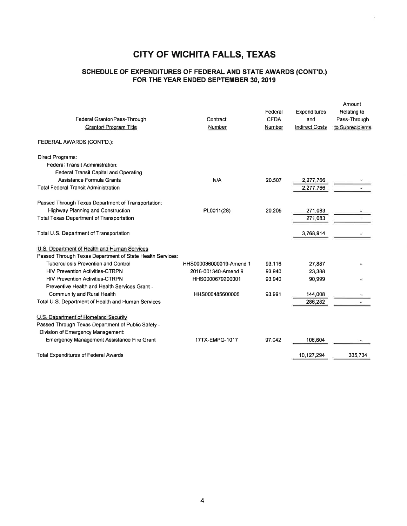### SCHEDULE OF EXPENDITURES OF FEDERAL AND STATE AWARDS (CONT'D.) FOR THE YEAR ENDED SEPTEMBER 30, 2019

| Federal Grantor/Pass-Through<br><b>Grantor/ Program Title</b> | Contract<br>Number      | Federal<br><b>CFDA</b><br>Number | Expenditures<br>and<br><b>Indirect Costs</b> | Amount<br>Relating to<br>Pass-Through<br>to Subrecipients |
|---------------------------------------------------------------|-------------------------|----------------------------------|----------------------------------------------|-----------------------------------------------------------|
| FEDERAL AWARDS (CONT'D.):                                     |                         |                                  |                                              |                                                           |
| Direct Programs:                                              |                         |                                  |                                              |                                                           |
| Federal Transit Administration:                               |                         |                                  |                                              |                                                           |
| Federal Transit Capital and Operating                         |                         |                                  |                                              |                                                           |
| Assistance Formula Grants                                     | N/A                     | 20.507                           | 2,277,766                                    |                                                           |
| <b>Total Federal Transit Administration</b>                   |                         |                                  | 2,277,766                                    |                                                           |
| Passed Through Texas Department of Transportation:            |                         |                                  |                                              |                                                           |
| Highway Planning and Construction                             | PL0011(28)              | 20.205                           | 271,083                                      |                                                           |
| <b>Total Texas Department of Transportation</b>               |                         |                                  | 271,083                                      |                                                           |
| Total U.S. Department of Transportation                       |                         |                                  | 3,768,914                                    |                                                           |
| U.S. Department of Health and Human Services                  |                         |                                  |                                              |                                                           |
| Passed Through Texas Department of State Health Services:     |                         |                                  |                                              |                                                           |
| <b>Tuberculosis Prevention and Control</b>                    | HHS000036000019-Amend 1 | 93.116                           | 27.887                                       |                                                           |
| <b>HIV Prevention Activities-CTRPN</b>                        | 2016-001340-Amend 9     | 93.940                           | 23,388                                       |                                                           |
| <b>HIV Prevention Activities-CTRPN</b>                        | HHS0000679200001        | 93.940                           | 90.999                                       |                                                           |
| Preventive Health and Health Services Grant -                 |                         |                                  |                                              |                                                           |
| Community and Rural Health                                    | HHS000485600006         | 93.991                           | 144,008                                      |                                                           |
| Total U.S. Department of Health and Human Services            |                         |                                  | 286,282                                      |                                                           |
| U.S. Department of Homeland Security                          |                         |                                  |                                              |                                                           |
| Passed Through Texas Department of Public Safety -            |                         |                                  |                                              |                                                           |
| Division of Emergency Management:                             |                         |                                  |                                              |                                                           |
| <b>Emergency Management Assistance Fire Grant</b>             | 17TX-EMPG-1017          | 97.042                           | 106,604                                      |                                                           |
| <b>Total Expenditures of Federal Awards</b>                   |                         |                                  | 10.127.294                                   | 335.734                                                   |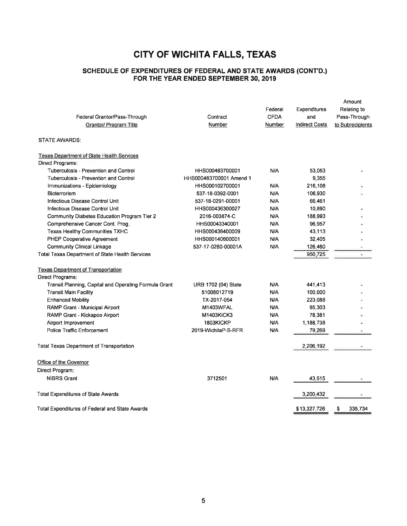#### SCHEDULE OF EXPENDTTURES OF FEDERAL AND STATE AWARDS (CONT'D.) FOR THE YEAR ENDED SEPTEMBER 30, 2019

| Federal Grantor/Pass-Through<br><b>Grantor/ Program Title</b> | Contract<br>Number      | Federal<br><b>CFDA</b><br><b>Number</b> | Expenditures<br>and<br><b>Indirect Costs</b> | Amount<br>Relating to<br>Pass-Through<br>to Subrecipients |
|---------------------------------------------------------------|-------------------------|-----------------------------------------|----------------------------------------------|-----------------------------------------------------------|
| <b>STATE AWARDS:</b>                                          |                         |                                         |                                              |                                                           |
| <b>Texas Department of State Health Services</b>              |                         |                                         |                                              |                                                           |
| Direct Programs:                                              |                         |                                         |                                              |                                                           |
| <b>Tuberculosis - Prevention and Control</b>                  | HHS000483700001         | N/A                                     | 53,053                                       |                                                           |
| Tuberculosis - Prevention and Control                         | HHS000483700001 Amend 1 |                                         | 9,355                                        |                                                           |
| Immunizations - Epidemiology                                  | HHS000102700001         | N/A                                     | 216,108                                      |                                                           |
| Bioterrorism                                                  | 537-18-0392-0001        | N/A                                     | 106,930                                      |                                                           |
| Infectious Disease Control Unit                               | 537-18-0291-00001       | N/A                                     | 66,461                                       |                                                           |
| Infectious Disease Control Unit                               | HHS000436300027         | N/A                                     | 10,890                                       |                                                           |
| Community Diabetes Education Program Tier 2                   | 2016-003874-C           | N/A                                     | 188,993                                      |                                                           |
| Comprehensive Cancer Cont. Prog.                              | HHS00043340001          | N/A                                     | 96,957                                       |                                                           |
| <b>Texas Healthy Communities TXHC</b>                         | HHS000438400009         | N/A                                     | 43,113                                       |                                                           |
| PHEP Cooperative Agreement                                    | HHS000140600001         | N/A                                     | 32,405                                       |                                                           |
| <b>Community Clinical Linkage</b>                             | 537-17-0280-00001A      | N/A                                     | 126,460                                      |                                                           |
| Total Texas Department of State Health Services               |                         |                                         | 950,725                                      |                                                           |
| <b>Texas Department of Transportation</b>                     |                         |                                         |                                              |                                                           |
| Direct Programs:                                              |                         |                                         |                                              |                                                           |
| Transit Planning, Capital and Operating Formula Grant         | URB 1702 (04) State     | N/A                                     | 441,413                                      |                                                           |
| <b>Transit Main Facility</b>                                  | 51008012719             | N/A                                     | 100,000                                      |                                                           |
| <b>Enhanced Mobility</b>                                      | TX-2017-054             | N/A                                     | 223,088                                      |                                                           |
| RAMP Grant - Municipal Airport                                | M1403WFAL               | N/A                                     | 95,303                                       |                                                           |
| RAMP Grant - Kickapoo Airport                                 | <b>M1403KICK3</b>       | N/A                                     | 78,381                                       |                                                           |
| Airport Improvement                                           | 1803KICKP               | N/A                                     | 1,188,738                                    |                                                           |
| Police Traffic Enforcement                                    | 2019-WichitaP-S-RFR     | N/A                                     | 79,269                                       |                                                           |
| <b>Total Texas Department of Transportation</b>               |                         |                                         | 2,206,192                                    |                                                           |
| Office of the Governor                                        |                         |                                         |                                              |                                                           |
| Direct Program:                                               |                         |                                         |                                              |                                                           |
| <b>NIBRS Grant</b>                                            | 3712501                 | N/A                                     | 43,515                                       |                                                           |
| Total Expenditures of State Awards                            |                         |                                         | 3,200,432                                    |                                                           |
| Total Expenditures of Federal and State Awards                |                         |                                         | \$13,327,726                                 | 335,734<br>\$                                             |
|                                                               |                         |                                         |                                              |                                                           |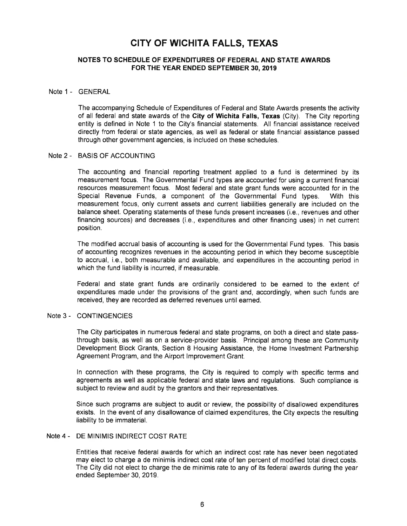#### NOTES TO SCHEDULE OF EXPENDITURES OF FEDERAL AND STATE AWARDS FOR THE YEAR ENDED SEPTEMBER 30,2019

#### Note 1 - GENERAL

The accompanying Schedule of Expenditures of Federal and State Awards presents the activity of all federal and state awards of the City of Wichita Falls, Texas (City). The City reporting entity is defined in Note 1 to the City's financial statements. All financial assistance received directly from federal or state agencies, as well as federal or state financial assistance passed through other government agencies, is included on these schedules.

#### Note 2 - BASIS OF ACCOUNTING

The accounting and financial reporting treatment applied to a fund is determined by its measurement focus. The Governmental Fund types are accounted for using a current financial resources measurement focus. Most federal and state grant funds were accounted for in the Special Revenue Funds, a component of the Governmental Fund types. With this measurement focus, only current assets and current liabilities generally are included on the balance sheet. Operating statements of these funds present increases (i.e., revenues and other financing sources) and decreases (i.e., expenditures and other financing uses) in net current position.

The modified accrual basis of accounting is used for the Governmental Fund types. This basis of accounting recognizes revenues in the accounting period in which they become susceptible to accrual, i.e., both measurable and available, and expenditures in the accounting period in which the fund liability is incurred, if measurable.

Federal and state grant funds are ordinarily considered to be earned to the extent of expenditures made under the provisions of the grant and, accordingly, when such funds are received, they are recorded as deferred revenues until earned.

#### Note 3 - CONTINGENCIES

The City participates in numerous federal and state programs, on both a direct and state passthrough basis, as well as on a service-provider basis. Principal among these are Community Development Block Grants, Section 8 Housing Assistance, the Home lnvestment Partnership Agreement Program, and the Airport lmprovement Grant.

ln connection with these programs, the City is required to comply with specific terms and agreements as well as applicable federal and state laws and regulations. Such compliance is subject to review and audit by the grantors and their representatives.

Since such programs are subject to audit or review, the possibility of disallowed expenditures exists. ln the event of any disallowance of claimed expenditures, the City expects the resulting liability to be immaterial.

#### Note <sup>4</sup>- DE MINIMIS INDIRECT COST RATE

Entities that receive federal awards for which an indirect cost rate has never been negotiated may elect to charge a de minimis indirect cost rate of ten percent of modified total direct costs. The City did not elect to charge the de minimis rate to any of its federal awards during the year ended September 30, 2019.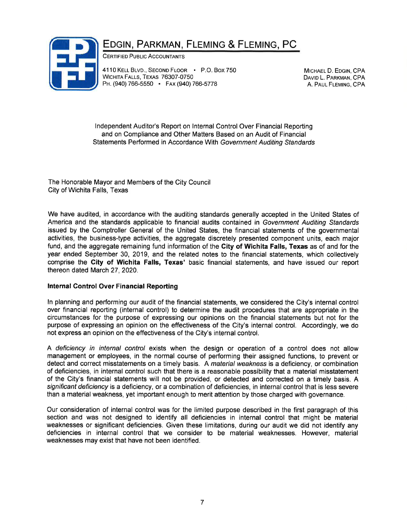## EDGIN, PARKMAN, FLEMING & FLEMING, PC



CERTIFIED PUBLIC ACCOUNTANTS

4110 KELL BLVD., SECOND FLOOR · P.O. Box 750 WICHITA FALLS, TEXAS 76307-0750 PH. (940) 766-5550 · Fax (940) 766-5778

MICHAEL D. EDGIN, CPA DAVID L. PARKMAN, CPA A. PAUL FLEMING, CPA

lndependent Auditor's Report on lnternal Control Over Financial Reporting and on Compliance and Other Matters Based on an Audit of Financial Statements Performed in Accordance With Government Auditing Standards

The Honorable Mayor and Members of the City Council City of Wichita Falls, Texas

We have audited, in accordance with the auditing standards generally accepted in the United States of America and the standards applicable to financial audits contained in Government Auditing Sfandards issued by the Comptroller General of the United States, the financial statements of the governmental activities, the business-type activities, the aggregate discretely presented component units, each major fund, and the aggregate remaining fund information of the City of Wichita Falls, Texas as of and for the year ended September 30,2019, and the related notes to the financial statements, which collectively comprise the City of Wichita Falls, Texas' basic financial statements, and have issued our report thereon dated March 27, 2020.

#### lnternal Control Over Financial Reporting

ln planning and performing our audit of the financial statements, we considered the City's internal control over financial reporting (internal control) to determine the audit procedures that are appropriate in the circumstances for the purpose of expressing our opinions on the financial statements but not for the purpose of expressing an opinion on the effectiveness of the City's internal control. Accordingly, we do not express an opinion on the effectiveness of the City's internal control.

A deficiency in internal control exists when the design or operation of a control does not allow management or employees, in the normal course of performing their assigned functions, to prevent or detect and correct misstatements on a timely basis. A material weakness is a deficiency, or combination of deficiencies, in internal control such that there is a reasonable possibility that a material misstatement of the City's financial statements will not be provided, or detected and corrected on a timely basis. A significant deficiency is a deficiency, or a combination of deficiencies, in internal control that is less severe than a material weakness, yet important enough to merit attention by those charged with governance.

Our consideration of internal control was for the limited purpose described in the first paragraph of this section and was not designed to identify all deficiencies in internal control that might be material weaknesses or significant deficiencies. Given these limitations, during our audit we did not identify any deficiencies in internal control that we consider to be material weaknesses. However, material weaknesses may exist that have not been identified.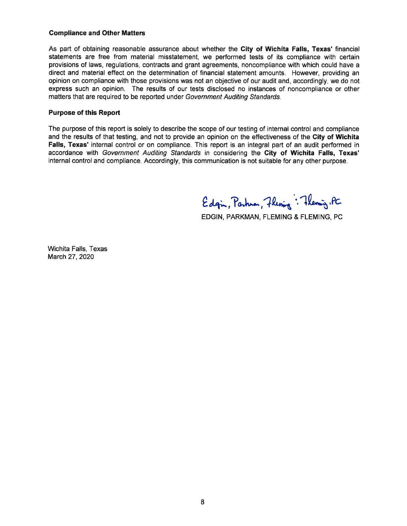#### Compliance and Other Matters

As part of obtaining reasonable assurance about whether the City of Wichita Falls, Texas' financial statements are free from material misstatement, we performed tests of its compliance with certain provisions of laws, regulations, contracts and grant agreements, noncompliance with which could have a direct and material effect on the determination of financial statement amounts. However, providing an opinion on compliance with those provisions was not an objective of our audit and, accordingly, we do not express such an opinion. The results of our tests disclosed no instances of noncompliance or other matters that are required to be reported under Government Auditing Sfandards.

#### Purpose of this Report

The purpose of this report is solely to describe the scope of our testing of internal control and compliance and the results of that testing, and not to provide an opinion on the effectiveness of the City of Wichita Falls, Texas' internal control or on compliance. This report is an integral part of an audit performed in accordance with Government Auditing Standards in considering the Gity of Wichita Falls, Texas' internal control and compliance. Accordingly, this communication is not suitable for any other purpose.

Edgin, Parhuan, Flening: Theming. PC

EDGIN, PARKMAN, FLEMING & FLEMING, PC

Wichita Falls, Texas March 27,2020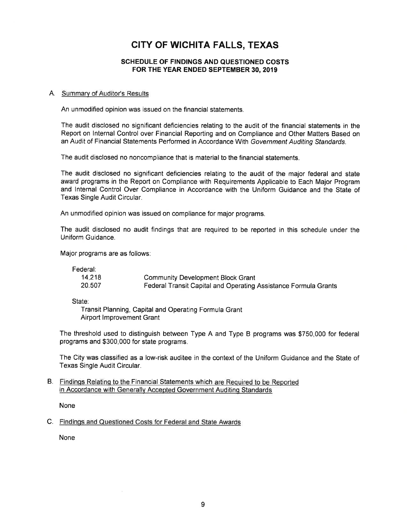#### SCHEDULE OF FINDINGS AND QUESTIONED COSTS FOR THE YEAR ENDED SEPTEMBER 30,2019

#### A. Summary of Auditor's Results

An unmodified opinion was issued on the financial statements.

The audit disclosed no significant deficiencies relating to the audit of the financial statements in the Report on lnternal Control over Financial Reporting and on Compliance and Other Matters Based on an Audit of Financial Statements Performed in Accordance With Government Auditing Standards.

The audit disclosed no noncompliance that is material to the financial statements.

The audit disclosed no significant deficiencies relating to the audit of the major federal and state award programs in the Report on Compliance with Requirements Applicable to Each Major Program and lnternal Control Over Compliance in Accordance with the Uniform Guidance and the State of Texas Single Audit Circular.

An unmodified opinion was issued on compliance for major programs.

The audit disclosed no audit findings that are required to be reported in this schedule under the Uniform Guidance.

Major programs are as follows:

Federal:

| 14.218 | <b>Community Development Block Grant</b>                        |
|--------|-----------------------------------------------------------------|
| 20.507 | Federal Transit Capital and Operating Assistance Formula Grants |

State:

Transit Planning, Capital and Operating Formula Grant Airport Improvement Grant

The threshold used to distinguish between Type A and Type B programs was \$750,000 for federal programs and \$300,000 for state programs.

The City was classified as a low-risk auditee in the context of the Uniform Guidance and the State of Texas Single Audit Circular.

#### B. Findinos Relatinq to the Financial Statements which are Required to be Reported in Accordance with Generally Accepted Government Auditing Standards

None

C. Findings and Questioned Costs for Federal and State Awards

None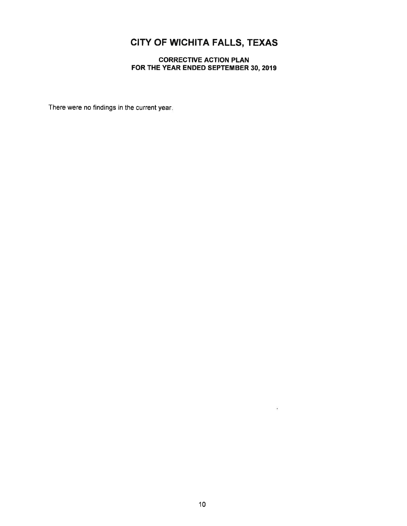### CORRECTIVE ACTION PLAN FOR THE YEAR ENDED SEPTEMBER 30, 2019

There were no findings in the current year.

 $\frac{1}{2}$